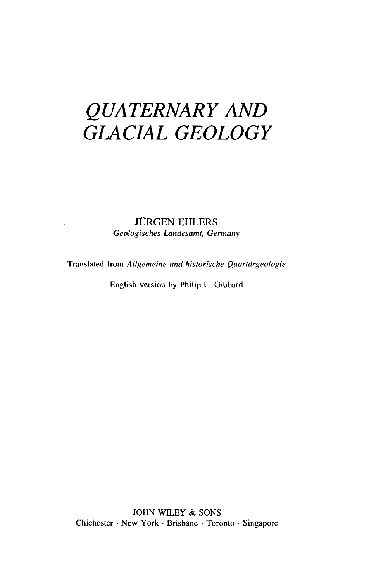# *QUATERNARY AND GLACIAL GEOLOGY*

#### **JÜRGEN EHLERS** *Geologisches Landesamt, Germany*

Translated from *Allgemeine und historische Quartdrgeologie*

English version by Philip L. Gibbard

JOHN WILEY & SONS Chichester • New York • Brisbane • Toronto • Singapore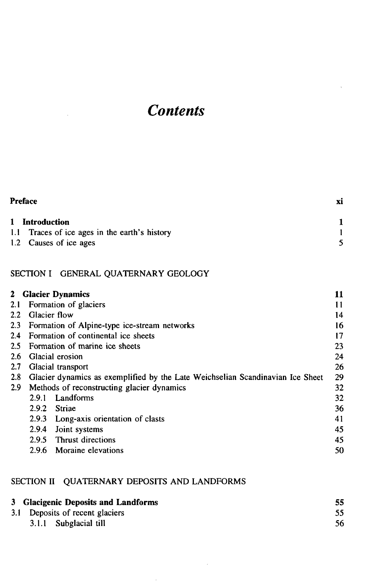## *Contents*

| <b>Preface</b>                                |    |
|-----------------------------------------------|----|
| 1 Introduction                                |    |
| 1.1 Traces of ice ages in the earth's history |    |
| 1.2 Causes of ice ages                        | 5. |

### SECTION I GENERAL QUATERNARY GEOLOGY

|                  | 2 Glacier Dynamics                                                             | 11 |
|------------------|--------------------------------------------------------------------------------|----|
| 2.1              | Formation of glaciers                                                          | 11 |
| $2.2\,$          | Glacier flow                                                                   | 14 |
| $2.3\phantom{0}$ | Formation of Alpine-type ice-stream networks                                   | 16 |
| 2.4              | Formation of continental ice sheets                                            | 17 |
|                  | 2.5 Formation of marine ice sheets                                             | 23 |
| 2.6              | Glacial erosion                                                                | 24 |
| 2.7              | Glacial transport                                                              | 26 |
| 2.8              | Glacier dynamics as exemplified by the Late Weichselian Scandinavian Ice Sheet | 29 |
| 2.9              | Methods of reconstructing glacier dynamics                                     | 32 |
|                  | Landforms<br>2.9.1                                                             | 32 |
|                  | 2.9.2<br>Striae                                                                | 36 |
|                  | 2.9.3<br>Long-axis orientation of clasts                                       | 41 |
|                  | 2.9.4<br>Joint systems                                                         | 45 |
|                  | Thrust directions<br>2.9.5                                                     | 45 |
|                  | 2.9.6<br>Moraine elevations                                                    | 50 |

### SECTION II QUATERNARY DEPOSITS AND LANDFORMS

| 3 Glacigenic Deposits and Landforms | 55. |
|-------------------------------------|-----|
| 3.1 Deposits of recent glaciers     |     |
| 3.1.1 Subglacial till               | 56  |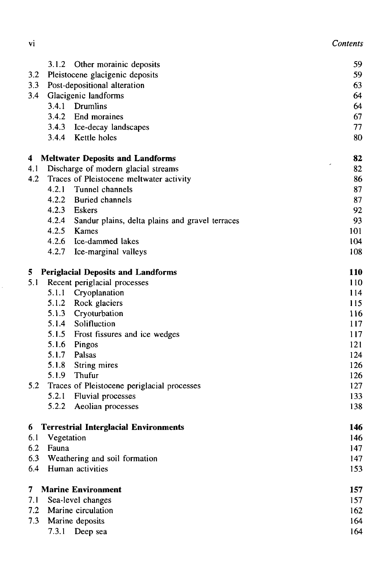| ٧l | Contents |
|----|----------|
|    |          |

|     | 3.1.2<br>Other morainic deposits                         | 59                             |
|-----|----------------------------------------------------------|--------------------------------|
| 3.2 | Pleistocene glacigenic deposits                          | 59                             |
| 3.3 | Post-depositional alteration                             | 63                             |
| 3.4 | Glacigenic landforms                                     | 64                             |
|     | Drumlins<br>3.4.1                                        | 64                             |
|     | 3.4.2<br>End moraines                                    | 67                             |
|     | 3.4.3 Ice-decay landscapes                               | 77                             |
|     | 3.4.4 Kettle holes                                       | 80                             |
| 4   | <b>Meltwater Deposits and Landforms</b>                  | 82                             |
| 4.1 | Discharge of modern glacial streams                      | $\overline{\phantom{a}}$<br>82 |
| 4.2 | Traces of Pleistocene meltwater activity                 | 86                             |
|     | 4.2.1<br>Tunnel channels                                 | 87                             |
|     | 4.2.2<br><b>Buried channels</b>                          | 87                             |
|     | 4.2.3 Eskers                                             | 92                             |
|     | 4.2.4<br>Sandur plains, delta plains and gravel terraces | 93                             |
|     | 4.2.5<br>Kames                                           | 101                            |
|     | 4.2.6<br>Ice-dammed lakes                                | 104                            |
|     | 4.2.7<br>Ice-marginal valleys                            | 108                            |
| 5.  | <b>Periglacial Deposits and Landforms</b>                | <b>110</b>                     |
| 5.1 | Recent periglacial processes                             | 110                            |
|     | 5.1.1<br>Cryoplanation                                   | 114                            |
|     | 5.1.2<br>Rock glaciers                                   | 115                            |
|     | 5.1.3 Cryoturbation                                      | 116                            |
|     | 5.1.4 Solifluction                                       | 117                            |
|     | 5.1.5 Frost fissures and ice wedges                      | 117                            |
|     | 5.1.6<br>Pingos                                          | 121                            |
|     | 5.1.7<br>Palsas                                          | 124                            |
|     | 5.1.8<br>String mires                                    | 126                            |
|     | 5.1.9<br>Thufur                                          | 126                            |
| 5.2 | Traces of Pleistocene periglacial processes              | 127                            |
|     | 5.2.1<br><b>Fluvial processes</b>                        | 133                            |
|     | 5.2.2<br>Aeolian processes                               | 138                            |
| 6   | <b>Terrestrial Interglacial Environments</b>             | 146                            |
| 6.1 | Vegetation                                               | 146                            |
| 6.2 | Fauna                                                    | 147                            |
| 6.3 | Weathering and soil formation                            | 147                            |
| 6.4 | Human activities                                         | 153                            |
| 7   | <b>Marine Environment</b>                                | 157                            |
| 7.1 | Sea-level changes                                        | 157                            |
| 7.2 | Marine circulation                                       | 162                            |
| 7.3 | Marine deposits                                          | 164                            |
|     | 7.3.1<br>Deep sea                                        | 164                            |
|     |                                                          |                                |

Ŷ,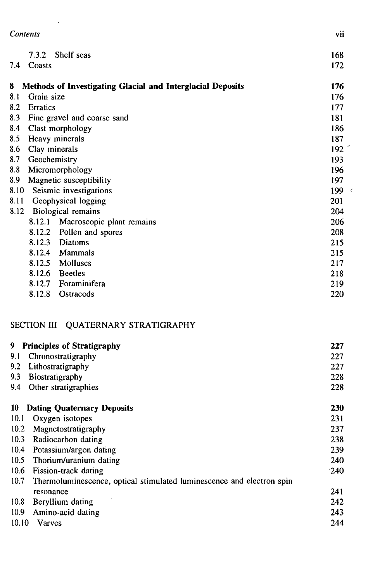|      | Contents        |                                                            | vii              |
|------|-----------------|------------------------------------------------------------|------------------|
| 7.4  | 7.3.2<br>Coasts | Shelf seas                                                 | 168<br>172       |
| 8    |                 | Methods of Investigating Glacial and Interglacial Deposits | 176              |
| 8.1  | Grain size      |                                                            | 176              |
| 8.2  | Erratics        |                                                            | 177              |
| 8.3  |                 | Fine gravel and coarse sand                                | 181              |
| 8.4  |                 | Clast morphology                                           | 186              |
| 8.5  |                 | Heavy minerals                                             | 187              |
| 8.6  | Clay minerals   |                                                            | 192 <sup>2</sup> |
| 8.7  | Geochemistry    |                                                            | 193              |
| 8.8  |                 | Micromorphology                                            | 196              |
| 8.9  |                 | Magnetic susceptibility                                    | 197              |
| 8.10 |                 | Seismic investigations                                     | 199 $\leq$       |
| 8.11 |                 | Geophysical logging                                        | 201              |
| 8.12 |                 | Biological remains                                         | 204              |
|      | 8.12.1          | Macroscopic plant remains                                  | 206              |
|      | 8.12.2          | Pollen and spores                                          | 208              |
|      | 8.12.3          | Diatoms                                                    | 215              |
|      | 8.12.4          | Mammals                                                    | 215              |
|      | 8.12.5          | Molluscs                                                   | 217              |
|      | 8.12.6          | <b>Beetles</b>                                             | 218              |
|      | 8.12.7          | Foraminifera                                               | 219              |
|      | 8.12.8          | Ostracods                                                  | 220              |

### SECTION III QUATERNARY STRATIGRAPHY

 $\cdot$ 

| 9                 | <b>Principles of Stratigraphy</b>                                     | 227 |
|-------------------|-----------------------------------------------------------------------|-----|
| 9.1               | Chronostratigraphy                                                    | 227 |
| 9.2               | Lithostratigraphy                                                     | 227 |
| 9.3               | Biostratigraphy                                                       | 228 |
| 9.4               | Other stratigraphies                                                  | 228 |
| 10                | <b>Dating Quaternary Deposits</b>                                     | 230 |
| 10.1              | Oxygen isotopes                                                       | 231 |
| 10.2              | Magnetostratigraphy                                                   | 237 |
| 10.3              | Radiocarbon dating                                                    | 238 |
| 10.4              | Potassium/argon dating                                                | 239 |
| 10.5              | Thorium/uranium dating                                                | 240 |
| 10.6              | Fission-track dating                                                  | 240 |
| 10.7              | Thermoluminescence, optical stimulated luminescence and electron spin |     |
|                   | resonance                                                             | 241 |
| 10.8              | Beryllium dating                                                      | 242 |
| 10.9 <sup>°</sup> | Amino-acid dating                                                     | 243 |
| 10.10             | <b>Varves</b>                                                         | 244 |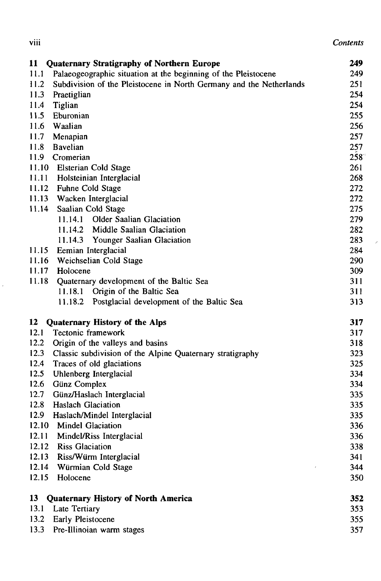| $\cdots$<br>VIII | Contents |
|------------------|----------|
|------------------|----------|

| 11<br><b>Quaternary Stratigraphy of Northern Europe</b>                     | 249 |
|-----------------------------------------------------------------------------|-----|
| 11.1<br>Palaeogeographic situation at the beginning of the Pleistocene      | 249 |
| 11.2<br>Subdivision of the Pleistocene in North Germany and the Netherlands | 251 |
| 11.3<br>Praetiglian                                                         | 254 |
| 11.4<br>Tiglian                                                             | 254 |
| 11.5<br>Eburonian                                                           | 255 |
| 11.6<br>Waalian                                                             | 256 |
| 11.7<br>Menapian                                                            | 257 |
| <b>Bavelian</b><br>11.8                                                     | 257 |
| 11.9<br>Cromerian                                                           | 258 |
| 11.10 Elsterian Cold Stage                                                  | 261 |
| 11.11<br>Holsteinian Interglacial                                           | 268 |
| 11.12<br>Fuhne Cold Stage                                                   | 272 |
| 11.13<br>Wacken Interglacial                                                | 272 |
| 11.14<br>Saalian Cold Stage                                                 | 275 |
| 11.14.1 Older Saalian Glaciation                                            | 279 |
| 11.14.2 Middle Saalian Glaciation                                           | 282 |
|                                                                             |     |
| 11.14.3 Younger Saalian Glaciation<br>11.15                                 | 283 |
| Eemian Interglacial<br>Weichselian Cold Stage                               | 284 |
| 11.16<br>11.17                                                              | 290 |
| Holocene                                                                    | 309 |
| 11.18<br>Quaternary development of the Baltic Sea                           | 311 |
| 11.18.1<br>Origin of the Baltic Sea                                         | 311 |
| 11.18.2<br>Postglacial development of the Baltic Sea                        | 313 |
| 12<br><b>Quaternary History of the Alps</b>                                 | 317 |
| 12.1<br>Tectonic framework                                                  | 317 |
| 12.2<br>Origin of the valleys and basins                                    | 318 |
| 12.3<br>Classic subdivision of the Alpine Quaternary stratigraphy           | 323 |
| 12.4<br>Traces of old glaciations                                           | 325 |
| 12.5<br>Uhlenberg Interglacial                                              | 334 |
| 12.6<br>Günz Complex                                                        | 334 |
| 12.7<br>Günz/Haslach Interglacial                                           | 335 |
| 12.8<br><b>Haslach Glaciation</b>                                           | 335 |
| 12.9<br>Haslach/Mindel Interglacial                                         | 335 |
| 12.10<br><b>Mindel Glaciation</b>                                           | 336 |
| 12.11<br>Mindel/Riss Interglacial                                           | 336 |
| 12.12<br><b>Riss Glaciation</b>                                             | 338 |
| 12.13<br>Riss/Würm Interglacial                                             | 341 |
| 12.14<br>Würmian Cold Stage                                                 | 344 |
| 12.15<br>Holocene                                                           | 350 |
| 13<br><b>Quaternary History of North America</b>                            | 352 |
| 13.1<br><b>Late Tertiary</b>                                                | 353 |
| 13.2<br>Early Pleistocene                                                   | 355 |
| 13.3<br>Pre-Illinoian warm stages                                           | 357 |
|                                                                             |     |

 $\mathcal{L}$